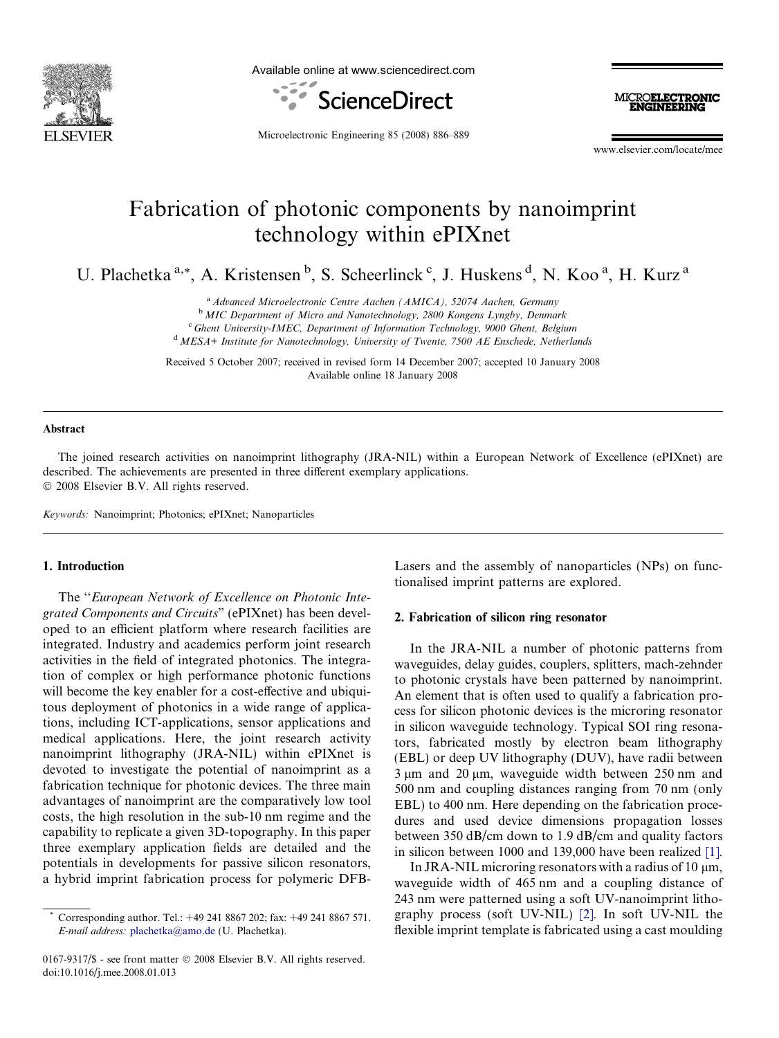

Available online at www.sciencedirect.com





Microelectronic Engineering 85 (2008) 886–889

www.elsevier.com/locate/mee

# Fabrication of photonic components by nanoimprint technology within ePIXnet

U. Plachetka<sup>a,\*</sup>, A. Kristensen<sup>b</sup>, S. Scheerlinck<sup>c</sup>, J. Huskens<sup>d</sup>, N. Koo<sup>a</sup>, H. Kurz<sup>a</sup>

<sup>a</sup> Advanced Microelectronic Centre Aachen (AMICA), 52074 Aachen, Germany

**b MIC Department of Micro and Nanotechnology, 2800 Kongens Lyngby, Denmark** 

<sup>c</sup> Ghent University-IMEC, Department of Information Technology, 9000 Ghent, Belgium

<sup>d</sup> MESA+ Institute for Nanotechnology, University of Twente, 7500 AE Enschede, Netherlands

Received 5 October 2007; received in revised form 14 December 2007; accepted 10 January 2008 Available online 18 January 2008

#### Abstract

The joined research activities on nanoimprint lithography (JRA-NIL) within a European Network of Excellence (ePIXnet) are described. The achievements are presented in three different exemplary applications. © 2008 Elsevier B.V. All rights reserved.

Keywords: Nanoimprint; Photonics; ePIXnet; Nanoparticles

## 1. Introduction

The ''European Network of Excellence on Photonic Integrated Components and Circuits" (ePIXnet) has been developed to an efficient platform where research facilities are integrated. Industry and academics perform joint research activities in the field of integrated photonics. The integration of complex or high performance photonic functions will become the key enabler for a cost-effective and ubiquitous deployment of photonics in a wide range of applications, including ICT-applications, sensor applications and medical applications. Here, the joint research activity nanoimprint lithography (JRA-NIL) within ePIXnet is devoted to investigate the potential of nanoimprint as a fabrication technique for photonic devices. The three main advantages of nanoimprint are the comparatively low tool costs, the high resolution in the sub-10 nm regime and the capability to replicate a given 3D-topography. In this paper three exemplary application fields are detailed and the potentials in developments for passive silicon resonators, a hybrid imprint fabrication process for polymeric DFB-

0167-9317/\$ - see front matter © 2008 Elsevier B.V. All rights reserved. doi:10.1016/j.mee.2008.01.013

Lasers and the assembly of nanoparticles (NPs) on functionalised imprint patterns are explored.

# 2. Fabrication of silicon ring resonator

In the JRA-NIL a number of photonic patterns from waveguides, delay guides, couplers, splitters, mach-zehnder to photonic crystals have been patterned by nanoimprint. An element that is often used to qualify a fabrication process for silicon photonic devices is the microring resonator in silicon waveguide technology. Typical SOI ring resonators, fabricated mostly by electron beam lithography (EBL) or deep UV lithography (DUV), have radii between  $3 \mu m$  and  $20 \mu m$ , waveguide width between  $250 \mu m$  and 500 nm and coupling distances ranging from 70 nm (only EBL) to 400 nm. Here depending on the fabrication procedures and used device dimensions propagation losses between 350 dB/cm down to 1.9 dB/cm and quality factors in silicon between 1000 and 139,000 have been realized [\[1\]](#page-3-0).

In JRA-NIL microring resonators with a radius of 10  $\mu$ m, waveguide width of 465 nm and a coupling distance of 243 nm were patterned using a soft UV-nanoimprint lithography process (soft UV-NIL) [\[2\].](#page-3-0) In soft UV-NIL the flexible imprint template is fabricated using a cast moulding

Corresponding author. Tel.: +49 241 8867 202; fax: +49 241 8867 571. E-mail address: [plachetka@amo.de](mailto:plachetka@amo.de) (U. Plachetka).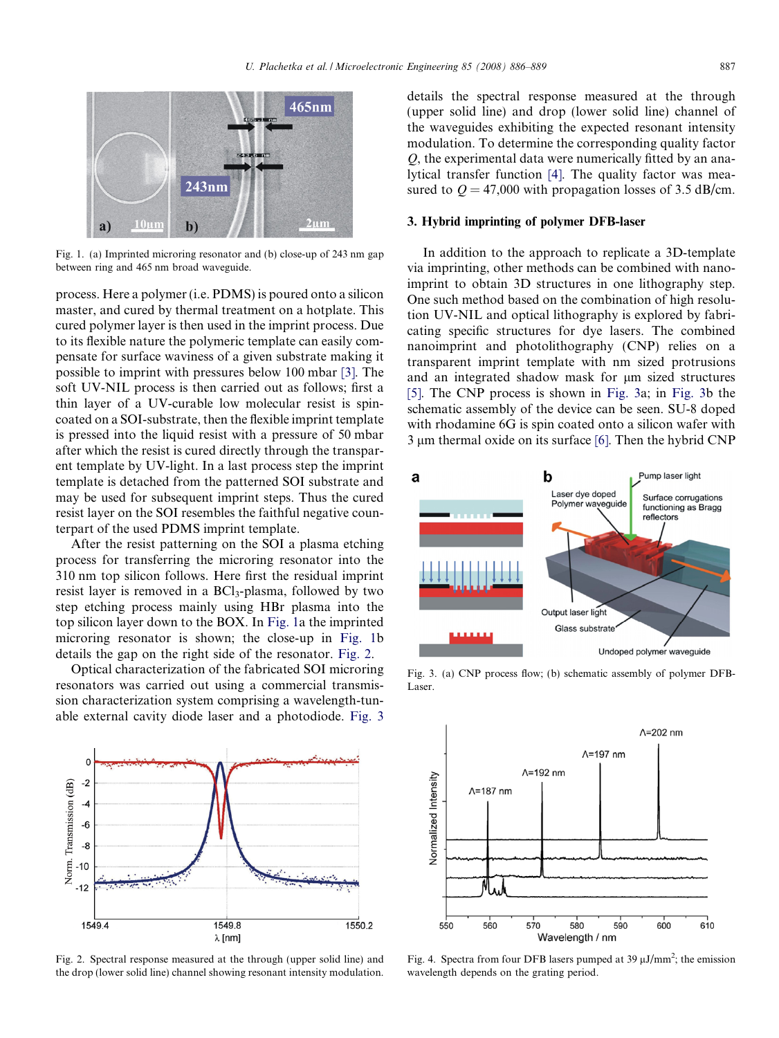<span id="page-1-0"></span>

Fig. 1. (a) Imprinted microring resonator and (b) close-up of 243 nm gap between ring and 465 nm broad waveguide.

process. Here a polymer (i.e. PDMS) is poured onto a silicon master, and cured by thermal treatment on a hotplate. This cured polymer layer is then used in the imprint process. Due to its flexible nature the polymeric template can easily compensate for surface waviness of a given substrate making it possible to imprint with pressures below 100 mbar [\[3\]](#page-3-0). The soft UV-NIL process is then carried out as follows; first a thin layer of a UV-curable low molecular resist is spincoated on a SOI-substrate, then the flexible imprint template is pressed into the liquid resist with a pressure of 50 mbar after which the resist is cured directly through the transparent template by UV-light. In a last process step the imprint template is detached from the patterned SOI substrate and may be used for subsequent imprint steps. Thus the cured resist layer on the SOI resembles the faithful negative counterpart of the used PDMS imprint template.

After the resist patterning on the SOI a plasma etching process for transferring the microring resonator into the 310 nm top silicon follows. Here first the residual imprint resist layer is removed in a BCl<sub>3</sub>-plasma, followed by two step etching process mainly using HBr plasma into the top silicon layer down to the BOX. In Fig. 1a the imprinted microring resonator is shown; the close-up in Fig. 1b details the gap on the right side of the resonator. Fig. 2.

Optical characterization of the fabricated SOI microring resonators was carried out using a commercial transmission characterization system comprising a wavelength-tunable external cavity diode laser and a photodiode. Fig. 3



Fig. 2. Spectral response measured at the through (upper solid line) and the drop (lower solid line) channel showing resonant intensity modulation.

details the spectral response measured at the through (upper solid line) and drop (lower solid line) channel of the waveguides exhibiting the expected resonant intensity modulation. To determine the corresponding quality factor Q, the experimental data were numerically fitted by an analytical transfer function [\[4\].](#page-3-0) The quality factor was measured to  $Q = 47,000$  with propagation losses of 3.5 dB/cm.

#### 3. Hybrid imprinting of polymer DFB-laser

In addition to the approach to replicate a 3D-template via imprinting, other methods can be combined with nanoimprint to obtain 3D structures in one lithography step. One such method based on the combination of high resolution UV-NIL and optical lithography is explored by fabricating specific structures for dye lasers. The combined nanoimprint and photolithography (CNP) relies on a transparent imprint template with nm sized protrusions and an integrated shadow mask for  $\mu$ m sized structures [\[5\].](#page-3-0) The CNP process is shown in Fig. 3a; in Fig. 3b the schematic assembly of the device can be seen. SU-8 doped with rhodamine 6G is spin coated onto a silicon wafer with  $3 \mu$ m thermal oxide on its surface [\[6\]](#page-3-0). Then the hybrid CNP



Fig. 3. (a) CNP process flow; (b) schematic assembly of polymer DFB-Laser.



Fig. 4. Spectra from four DFB lasers pumped at 39  $\mu$ J/mm<sup>2</sup>; the emission wavelength depends on the grating period.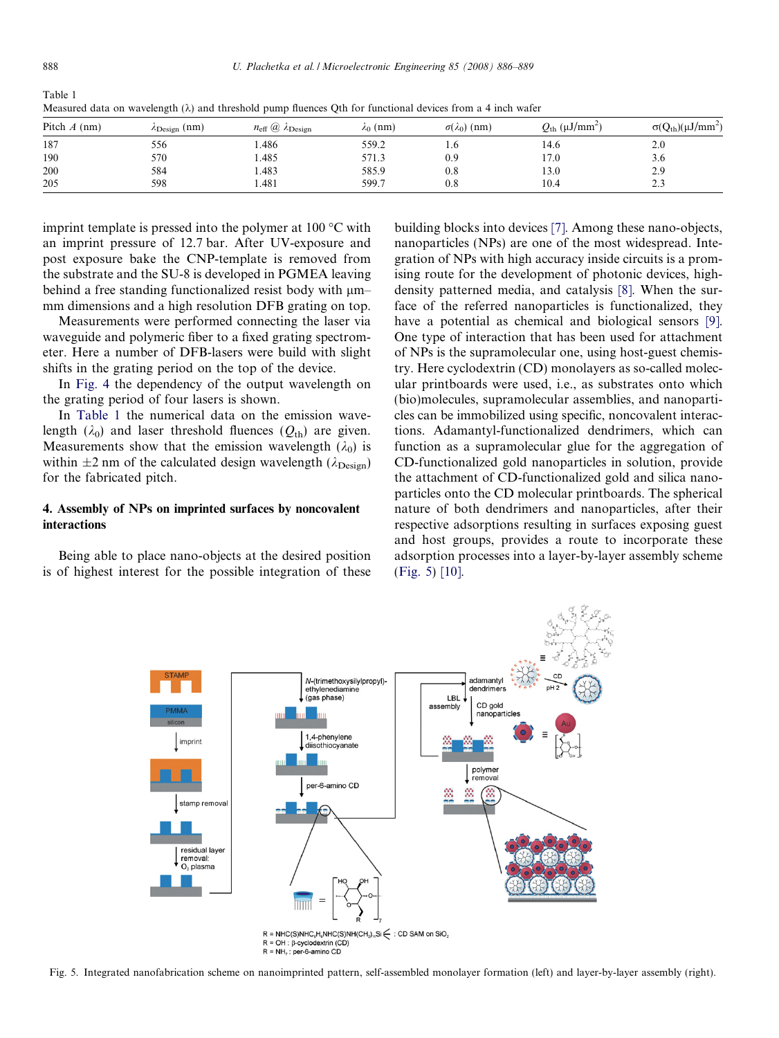| $Q_{\text{th}}$ ( $\mu$ J/mm <sup>2</sup> )<br>$\sigma(Q_{th})(\mu J/mm^2)$ |
|-----------------------------------------------------------------------------|
|                                                                             |
| 2.0                                                                         |
| 3.6                                                                         |
| 2.9                                                                         |
| 2.3                                                                         |
|                                                                             |

Measured data on wavelength ( $\lambda$ ) and threshold pump fluences Oth for functional devices from a 4 inch wafer

imprint template is pressed into the polymer at  $100^{\circ}$ C with an imprint pressure of 12.7 bar. After UV-exposure and post exposure bake the CNP-template is removed from the substrate and the SU-8 is developed in PGMEA leaving behind a free standing functionalized resist body with  $\mu$ m– mm dimensions and a high resolution DFB grating on top.

Measurements were performed connecting the laser via waveguide and polymeric fiber to a fixed grating spectrometer. Here a number of DFB-lasers were build with slight shifts in the grating period on the top of the device.

In [Fig. 4](#page-1-0) the dependency of the output wavelength on the grating period of four lasers is shown.

In Table 1 the numerical data on the emission wavelength ( $\lambda_0$ ) and laser threshold fluences ( $Q_{th}$ ) are given. Measurements show that the emission wavelength  $(\lambda_0)$  is within  $\pm 2$  nm of the calculated design wavelength ( $\lambda_{\text{Design}}$ ) for the fabricated pitch.

# 4. Assembly of NPs on imprinted surfaces by noncovalent interactions

Being able to place nano-objects at the desired position is of highest interest for the possible integration of these building blocks into devices [\[7\].](#page-3-0) Among these nano-objects, nanoparticles (NPs) are one of the most widespread. Integration of NPs with high accuracy inside circuits is a promising route for the development of photonic devices, highdensity patterned media, and catalysis [\[8\]](#page-3-0). When the surface of the referred nanoparticles is functionalized, they have a potential as chemical and biological sensors [\[9\]](#page-3-0). One type of interaction that has been used for attachment of NPs is the supramolecular one, using host-guest chemistry. Here cyclodextrin (CD) monolayers as so-called molecular printboards were used, i.e., as substrates onto which (bio)molecules, supramolecular assemblies, and nanoparticles can be immobilized using specific, noncovalent interactions. Adamantyl-functionalized dendrimers, which can function as a supramolecular glue for the aggregation of CD-functionalized gold nanoparticles in solution, provide the attachment of CD-functionalized gold and silica nanoparticles onto the CD molecular printboards. The spherical nature of both dendrimers and nanoparticles, after their respective adsorptions resulting in surfaces exposing guest and host groups, provides a route to incorporate these adsorption processes into a layer-by-layer assembly scheme (Fig. 5) [\[10\]](#page-3-0).



Fig. 5. Integrated nanofabrication scheme on nanoimprinted pattern, self-assembled monolayer formation (left) and layer-by-layer assembly (right).

Table 1